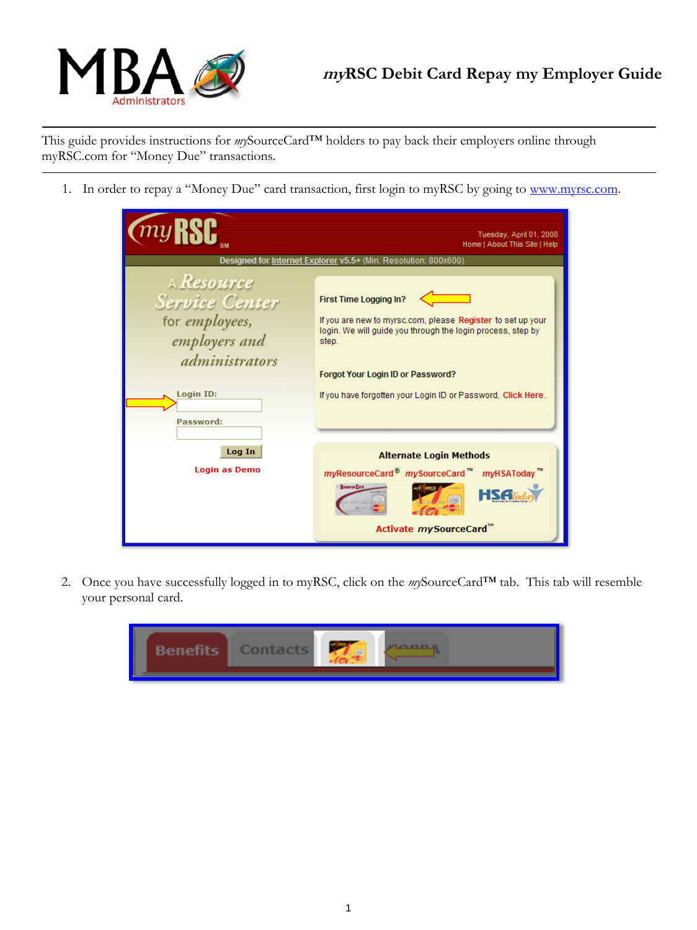

This guide provides instructions for *my*SourceCard™ holders to pay back their employers online through myRSC.com for "Money Due" transactions.

1. In order to repay a "Money Due" card transaction, first login to myRSC by going to www.myrsc.com.

|                                                                                | Tuesday, April 01, 2008<br>Home   About This Site   Help                                                                                                      |
|--------------------------------------------------------------------------------|---------------------------------------------------------------------------------------------------------------------------------------------------------------|
|                                                                                | Designed for Internet Explorer v5.5+ (Min. Resolution: 800x600)                                                                                               |
| A Resource<br><b>Service Center</b><br>for <i>employees</i> ,<br>employers and | First Time Logging In?<br>If you are new to myrsc.com, please Register to set up your<br>login. We will quide you through the login process, step by<br>step. |
| administrators<br><b>Login ID:</b><br>Password:                                | Forgot Your Login ID or Password?<br>If you have forgotten your Login ID or Password, Click Here.                                                             |
| Log In<br><b>Login as Demo</b>                                                 | <b>Alternate Login Methods</b><br>myResourceCard <sup>®</sup> mySourceCard™ myHSAToday™<br><b>Resurce Card</b><br>Activate mySourceCard <sup>™</sup>          |

2. Once you have successfully logged in to myRSC, click on the *my*SourceCard™ tab. This tab will resemble your personal card.

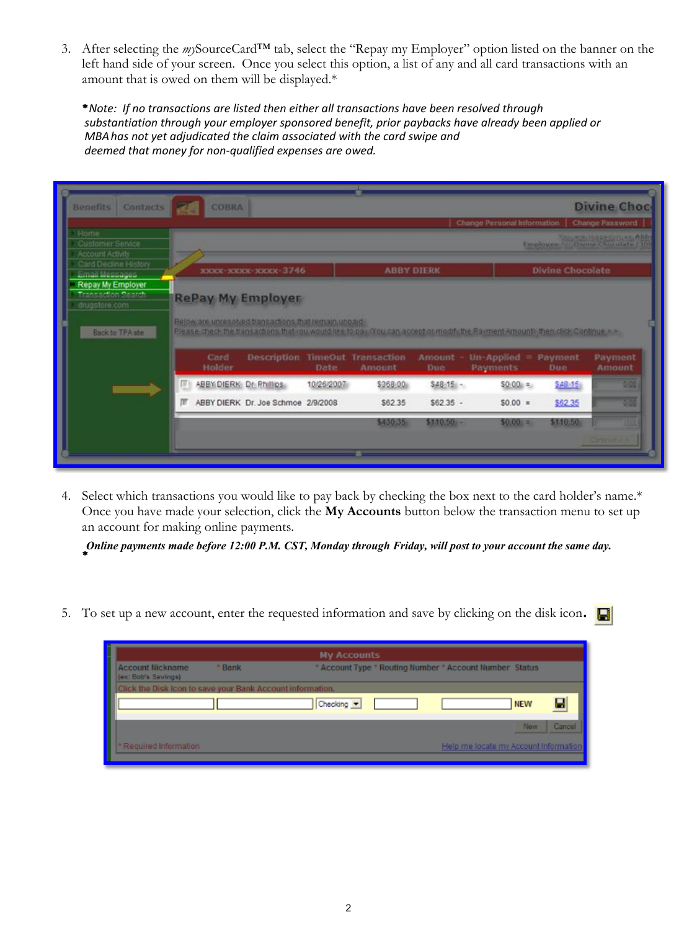3. After selecting the *my*SourceCard™ tab, select the "Repay my Employer" option listed on the banner on the left hand side of your screen. Once you select this option, a list of any and all card transactions with an amount that is owed on them will be displayed.\*

*Note: If no transactions are listed then either all transactions have been resolved through substantiation through your employer sponsored benefit, prior paybacks have already been applied or MBA has not yet adjudicated the claim associated with the card swipe and deemed that money for non-qualified expenses are owed.* 



4. Select which transactions you would like to pay back by checking the box next to the card holder's name.\* Once you have made your selection, click the **My Accounts** button below the transaction menu to set up an account for making online payments.

*Online payments made before 12:00 P.M. CST, Monday through Friday, will post to your account the same day.* 

5. To set up a new account, enter the requested information and save by clicking on the disk icon.

|                                                            | <b>My Accounts</b>                                      |
|------------------------------------------------------------|---------------------------------------------------------|
| <b>Account Nickname</b><br>* Bank<br>(ex: Bob's Savings)   | * Account Type * Routing Number * Account Number Status |
| Click the Disk Icon to save your Bank Account information. |                                                         |
|                                                            | Checking -<br><b>NEW</b>                                |
|                                                            | Cancel<br><b>New</b>                                    |
| Required Information                                       | Help me locate my Account Information                   |
|                                                            |                                                         |